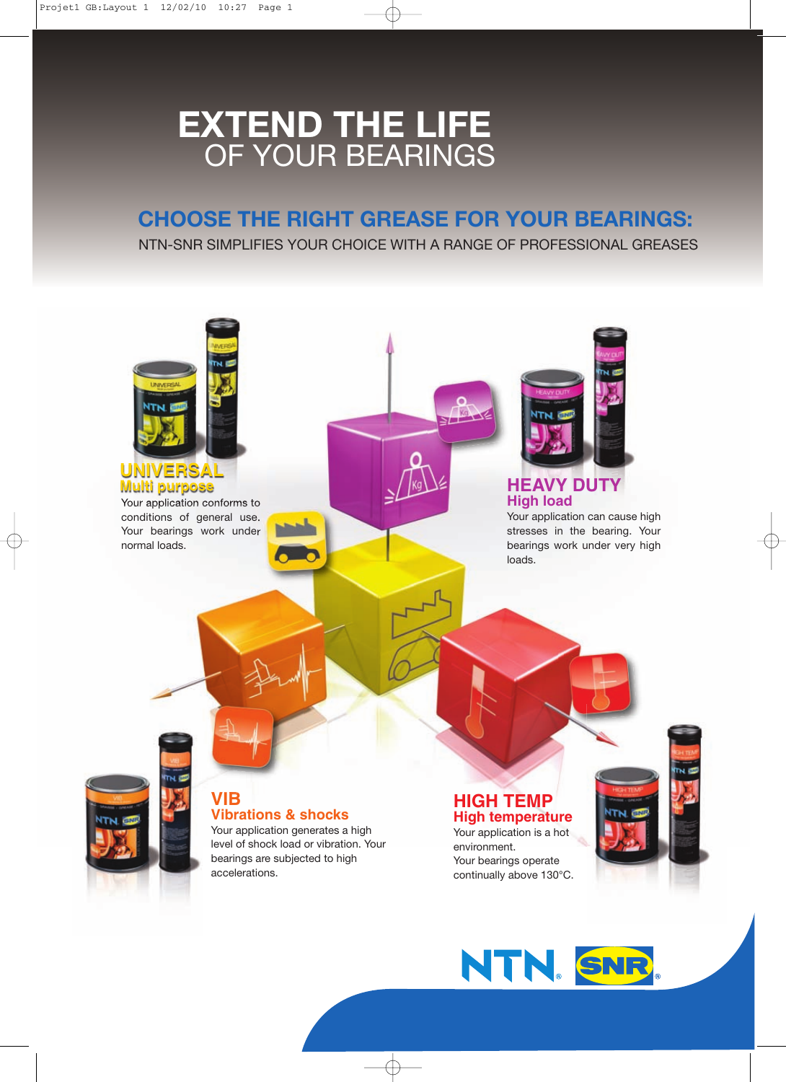## **EXTEND THE LIFE** OF YOUR BEARINGS

### **CHOOSE THE RIGHT GREASE FOR YOUR BEARINGS:**

NTN-SNR SIMPLIFIES YOUR CHOICE WITH A RANGE OF PROFESSIONAL GREASES



NTN. SNR